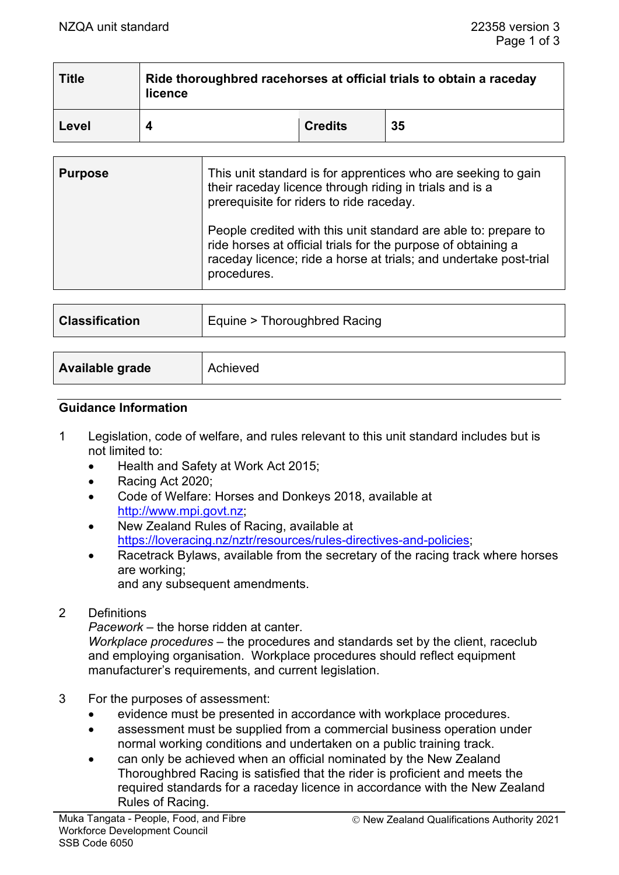| <b>Title</b> | Ride thoroughbred racehorses at official trials to obtain a raceday<br>licence |                |    |
|--------------|--------------------------------------------------------------------------------|----------------|----|
| Level        |                                                                                | <b>Credits</b> | 35 |

| <b>Purpose</b> | This unit standard is for apprentices who are seeking to gain<br>their raceday licence through riding in trials and is a<br>prerequisite for riders to ride raceday.                                                 |
|----------------|----------------------------------------------------------------------------------------------------------------------------------------------------------------------------------------------------------------------|
|                | People credited with this unit standard are able to: prepare to<br>ride horses at official trials for the purpose of obtaining a<br>raceday licence; ride a horse at trials; and undertake post-trial<br>procedures. |
|                |                                                                                                                                                                                                                      |

| <b>Classification</b>  | Equine > Thoroughbred Racing |
|------------------------|------------------------------|
|                        |                              |
| <b>Available grade</b> | Achieved                     |

# **Guidance Information**

- 1 Legislation, code of welfare, and rules relevant to this unit standard includes but is not limited to:
	- Health and Safety at Work Act 2015;
	- Racing Act 2020;
	- Code of Welfare: Horses and Donkeys 2018, available at [http://www.mpi.govt.nz;](http://www.mpi.govt.nz/)
	- New Zealand Rules of Racing, available at [https://loveracing.nz/nztr/resources/rules-directives-and-policies;](https://loveracing.nz/nztr/resources/rules-directives-and-policies)
	- Racetrack Bylaws, available from the secretary of the racing track where horses are working;

and any subsequent amendments.

2 Definitions

*Pacework* – the horse ridden at canter.

*Workplace procedures* – the procedures and standards set by the client, raceclub and employing organisation. Workplace procedures should reflect equipment manufacturer's requirements, and current legislation.

- 3 For the purposes of assessment:
	- evidence must be presented in accordance with workplace procedures.
	- assessment must be supplied from a commercial business operation under normal working conditions and undertaken on a public training track.
	- can only be achieved when an official nominated by the New Zealand Thoroughbred Racing is satisfied that the rider is proficient and meets the required standards for a raceday licence in accordance with the New Zealand Rules of Racing.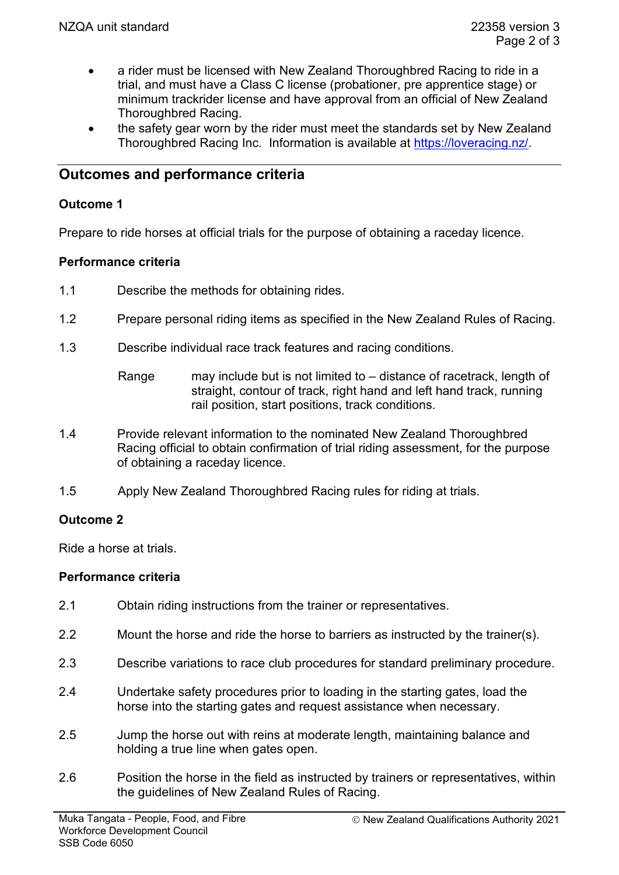- a rider must be licensed with New Zealand Thoroughbred Racing to ride in a trial, and must have a Class C license (probationer, pre apprentice stage) or minimum trackrider license and have approval from an official of New Zealand Thoroughbred Racing.
- the safety gear worn by the rider must meet the standards set by New Zealand Thoroughbred Racing Inc. Information is available at [https://loveracing.nz/.](https://loveracing.nz/)

# **Outcomes and performance criteria**

### **Outcome 1**

Prepare to ride horses at official trials for the purpose of obtaining a raceday licence.

### **Performance criteria**

- 1.1 Describe the methods for obtaining rides.
- 1.2 Prepare personal riding items as specified in the New Zealand Rules of Racing.
- 1.3 Describe individual race track features and racing conditions.
	- Range may include but is not limited to distance of racetrack, length of straight, contour of track, right hand and left hand track, running rail position, start positions, track conditions.
- 1.4 Provide relevant information to the nominated New Zealand Thoroughbred Racing official to obtain confirmation of trial riding assessment, for the purpose of obtaining a raceday licence.
- 1.5 Apply New Zealand Thoroughbred Racing rules for riding at trials.

# **Outcome 2**

Ride a horse at trials.

#### **Performance criteria**

- 2.1 Obtain riding instructions from the trainer or representatives.
- 2.2 Mount the horse and ride the horse to barriers as instructed by the trainer(s).
- 2.3 Describe variations to race club procedures for standard preliminary procedure.
- 2.4 Undertake safety procedures prior to loading in the starting gates, load the horse into the starting gates and request assistance when necessary.
- 2.5 Jump the horse out with reins at moderate length, maintaining balance and holding a true line when gates open.
- 2.6 Position the horse in the field as instructed by trainers or representatives, within the guidelines of New Zealand Rules of Racing.